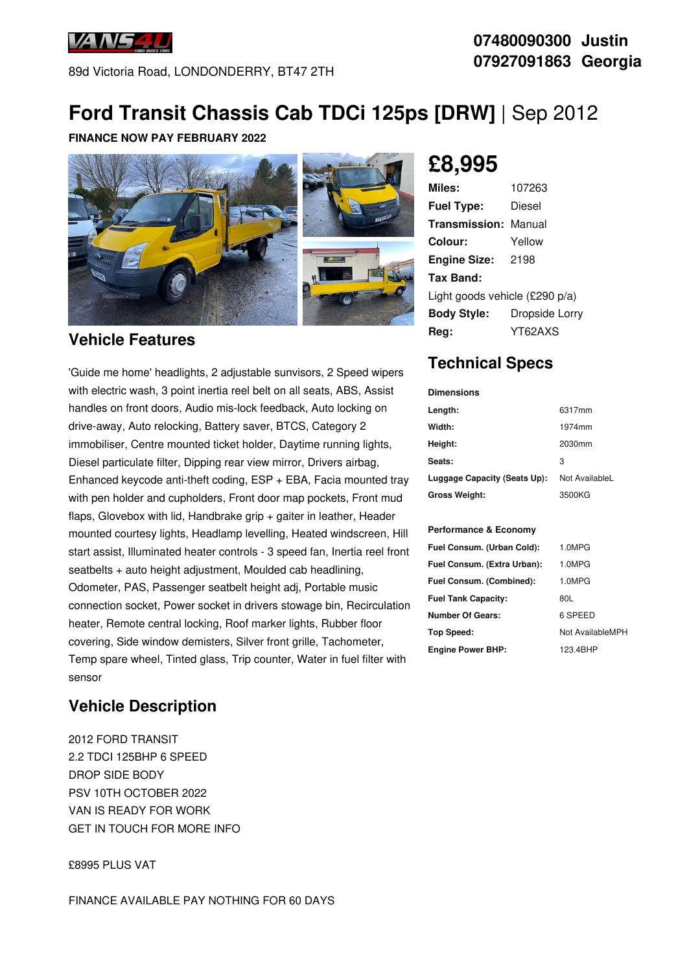

89d Victoria Road, LONDONDERRY, BT47 2TH

### **07480090300 Justin 07927091863 Georgia**

## **Ford Transit Chassis Cab TDCi 125ps [DRW]** | Sep 2012

#### **FINANCE NOW PAY FEBRUARY 2022**



#### **Vehicle Features**

'Guide me home' headlights, 2 adjustable sunvisors, 2 Speed wipers with electric wash, 3 point inertia reel belt on all seats, ABS, Assist handles on front doors, Audio mis-lock feedback, Auto locking on drive-away, Auto relocking, Battery saver, BTCS, Category 2 immobiliser, Centre mounted ticket holder, Daytime running lights, Diesel particulate filter, Dipping rear view mirror, Drivers airbag, Enhanced keycode anti-theft coding, ESP + EBA, Facia mounted tray with pen holder and cupholders, Front door map pockets, Front mud flaps, Glovebox with lid, Handbrake grip + gaiter in leather, Header mounted courtesy lights, Headlamp levelling, Heated windscreen, Hill start assist, Illuminated heater controls - 3 speed fan, Inertia reel front seatbelts + auto height adjustment, Moulded cab headlining, Odometer, PAS, Passenger seatbelt height adj, Portable music connection socket, Power socket in drivers stowage bin, Recirculation heater, Remote central locking, Roof marker lights, Rubber floor covering, Side window demisters, Silver front grille, Tachometer, Temp spare wheel, Tinted glass, Trip counter, Water in fuel filter with sensor

#### **Vehicle Description**

2012 FORD TRANSIT 2.2 TDCI 125BHP 6 SPEED DROP SIDE BODY PSV 10TH OCTOBER 2022 VAN IS READY FOR WORK GET IN TOUCH FOR MORE INFO

£8995 PLUS VAT

# **£8,995**

| Miles:                         | 107263         |  |
|--------------------------------|----------------|--|
| <b>Fuel Type:</b>              | Diesel         |  |
| Transmission:                  | Manual         |  |
| Colour:                        | Yellow         |  |
| <b>Engine Size:</b>            | 2198           |  |
| Tax Band:                      |                |  |
| Light goods vehicle (£290 p/a) |                |  |
| <b>Body Style:</b>             | Dropside Lorry |  |
| Rea:                           | YT62AXS        |  |

### **Technical Specs**

| <b>Dimensions</b>            |                |
|------------------------------|----------------|
| Length:                      | 6317mm         |
| Width:                       | 1974mm         |
| Height:                      | 2030mm         |
| Seats:                       | 3              |
| Luggage Capacity (Seats Up): | Not AvailableL |
| <b>Gross Weight:</b>         | 3500KG         |
|                              |                |

#### **Performance & Economy**

| Fuel Consum. (Urban Cold):  | 1.0MPG           |
|-----------------------------|------------------|
| Fuel Consum. (Extra Urban): | 1.0MPG           |
| Fuel Consum. (Combined):    | 1.0MPG           |
| <b>Fuel Tank Capacity:</b>  | 80L              |
| Number Of Gears:            | 6 SPEED          |
| Top Speed:                  | Not AvailableMPH |
| <b>Engine Power BHP:</b>    | 123.4BHP         |
|                             |                  |